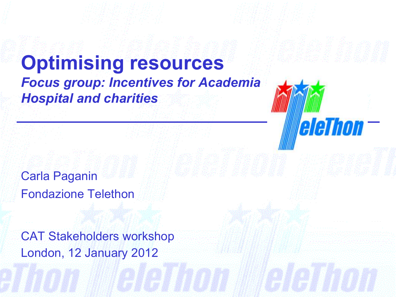# **Optimising resources** *Focus group: Incentives for Academia Hospital and charities*

leleThon —

Carla Paganin Fondazione Telethon

London, 12 January 2012 CAT Stakeholders workshop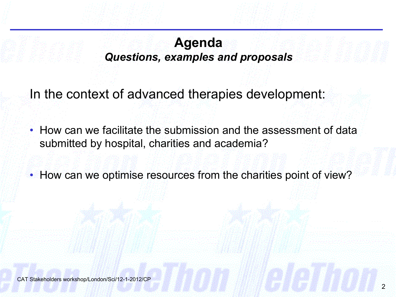#### **Agenda** *Questions, examples and proposals*

In the context of advanced therapies development:

• How can we facilitate the submission and the assessment of data submitted by hospital, charities and academia?

• How can we optimise resources from the charities point of view?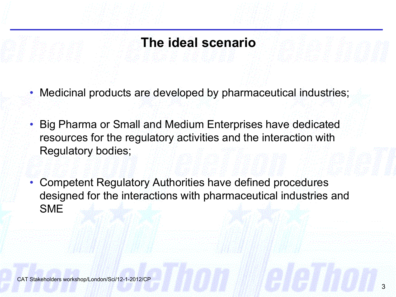### **The ideal scenario**

- Medicinal products are developed by pharmaceutical industries;
- Big Pharma or Small and Medium Enterprises have dedicated resources for the regulatory activities and the interaction with Regulatory bodies;
- Competent Regulatory Authorities have defined procedures designed for the interactions with pharmaceutical industries and SME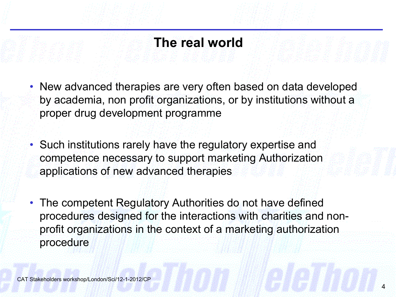# **The real world**

- New advanced therapies are very often based on data developed by academia, non profit organizations, or by institutions without a proper drug development programme
- Such institutions rarely have the regulatory expertise and competence necessary to support marketing Authorization applications of new advanced therapies
- The competent Regulatory Authorities do not have defined procedures designed for the interactions with charities and nonprofit organizations in the context of a marketing authorization procedure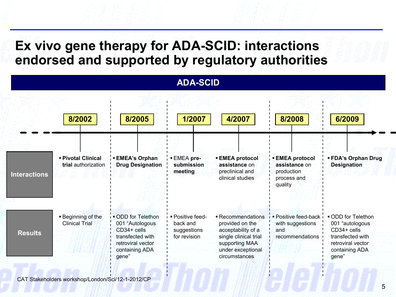### **Ex vivo gene therapy for ADA-SCID: interactions endorsed and supported by regulatory authorities**

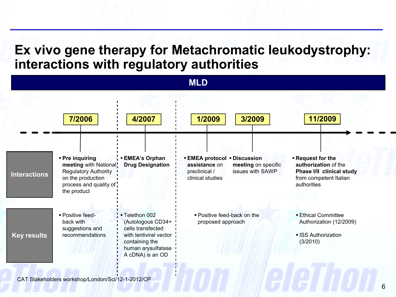#### **Ex vivo gene therapy for Metachromatic leukodystrophy: interactions with regulatory authorities**

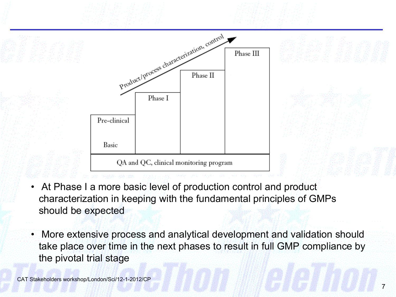

- At Phase I a more basic level of production control and product characterization in keeping with the fundamental principles of GMPs should be expected
- More extensive process and analytical development and validation should take place over time in the next phases to result in full GMP compliance by the pivotal trial stage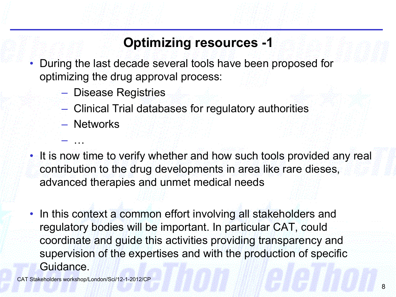# **Optimizing resources -1**

- During the last decade several tools have been proposed for optimizing the drug approval process:
	- Disease Registries
	- Clinical Trial databases for regulatory authorities
	- Networks

– …

- It is now time to verify whether and how such tools provided any real contribution to the drug developments in area like rare dieses, advanced therapies and unmet medical needs
- In this context a common effort involving all stakeholders and regulatory bodies will be important. In particular CAT, could coordinate and guide this activities providing transparency and supervision of the expertises and with the production of specific Guidance.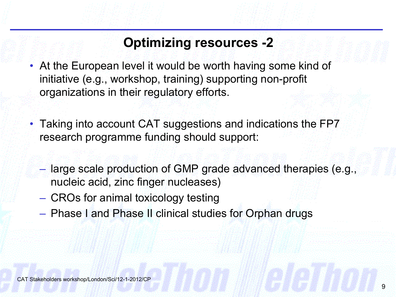# **Optimizing resources -2**

- At the European level it would be worth having some kind of initiative (e.g., workshop, training) supporting non-profit organizations in their regulatory efforts.
- Taking into account CAT suggestions and indications the FP7 research programme funding should support:
	- large scale production of GMP grade advanced therapies (e.g., nucleic acid, zinc finger nucleases)
	- CROs for animal toxicology testing
	- Phase I and Phase II clinical studies for Orphan drugs